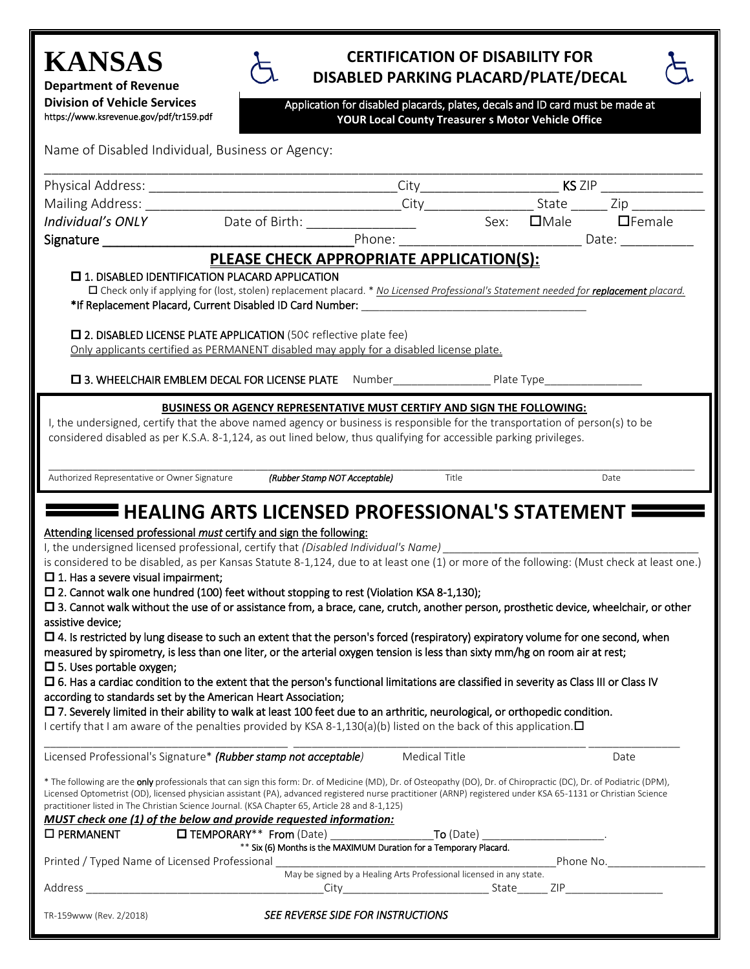## **KANSAS**

**Department of Revenue Division of Vehicle Services**  https://www.ksrevenue.gov/pdf/tr159.pdf

## **CERTIFICATION OF DISABILITY FOR DISABLED PARKING PLACARD/PLATE/DECAL**

 $\varphi$ 

| Application for disabled placards, plates, decals and ID card must be made at |  |
|-------------------------------------------------------------------------------|--|
| YOUR Local County Treasurer s Motor Vehicle Office                            |  |

| Name of Disabled Individual, Business or Agency: |  |  |  |
|--------------------------------------------------|--|--|--|
|--------------------------------------------------|--|--|--|

| Physical Address:                                                                                                                                           |                                                                                                                                                                                                                                                                                                                                             |      |
|-------------------------------------------------------------------------------------------------------------------------------------------------------------|---------------------------------------------------------------------------------------------------------------------------------------------------------------------------------------------------------------------------------------------------------------------------------------------------------------------------------------------|------|
| Mailing Address:                                                                                                                                            |                                                                                                                                                                                                                                                                                                                                             |      |
| Individual's ONLY                                                                                                                                           |                                                                                                                                                                                                                                                                                                                                             |      |
| Signature _____                                                                                                                                             | Phone:                                                                                                                                                                                                                                                                                                                                      |      |
|                                                                                                                                                             | PLEASE CHECK APPROPRIATE APPLICATION(S):                                                                                                                                                                                                                                                                                                    |      |
| $\Box$ 1. DISABLED IDENTIFICATION PLACARD APPLICATION                                                                                                       |                                                                                                                                                                                                                                                                                                                                             |      |
|                                                                                                                                                             | □ Check only if applying for (lost, stolen) replacement placard. * No Licensed Professional's Statement needed for replacement placard.                                                                                                                                                                                                     |      |
| □ 2. DISABLED LICENSE PLATE APPLICATION (50¢ reflective plate fee)                                                                                          | Only applicants certified as PERMANENT disabled may apply for a disabled license plate.                                                                                                                                                                                                                                                     |      |
|                                                                                                                                                             |                                                                                                                                                                                                                                                                                                                                             |      |
|                                                                                                                                                             | BUSINESS OR AGENCY REPRESENTATIVE MUST CERTIFY AND SIGN THE FOLLOWING:                                                                                                                                                                                                                                                                      |      |
|                                                                                                                                                             | I, the undersigned, certify that the above named agency or business is responsible for the transportation of person(s) to be<br>considered disabled as per K.S.A. 8-1,124, as out lined below, thus qualifying for accessible parking privileges.                                                                                           |      |
| Authorized Representative or Owner Signature                                                                                                                | (Rubber Stamp NOT Acceptable)<br>Title                                                                                                                                                                                                                                                                                                      | Date |
|                                                                                                                                                             |                                                                                                                                                                                                                                                                                                                                             |      |
| Attending licensed professional must certify and sign the following:<br>I, the undersigned licensed professional, certify that (Disabled Individual's Name) |                                                                                                                                                                                                                                                                                                                                             |      |
|                                                                                                                                                             | is considered to be disabled, as per Kansas Statute 8-1,124, due to at least one (1) or more of the following: (Must check at least one.)                                                                                                                                                                                                   |      |
| $\Box$ 1. Has a severe visual impairment;                                                                                                                   |                                                                                                                                                                                                                                                                                                                                             |      |
|                                                                                                                                                             | $\square$ 2. Cannot walk one hundred (100) feet without stopping to rest (Violation KSA 8-1,130);<br>□ 3. Cannot walk without the use of or assistance from, a brace, cane, crutch, another person, prosthetic device, wheelchair, or other                                                                                                 |      |
| assistive device;                                                                                                                                           |                                                                                                                                                                                                                                                                                                                                             |      |
|                                                                                                                                                             | $\Box$ 4. Is restricted by lung disease to such an extent that the person's forced (respiratory) expiratory volume for one second, when                                                                                                                                                                                                     |      |
|                                                                                                                                                             | measured by spirometry, is less than one liter, or the arterial oxygen tension is less than sixty mm/hg on room air at rest;                                                                                                                                                                                                                |      |
| $\square$ 5. Uses portable oxygen;                                                                                                                          |                                                                                                                                                                                                                                                                                                                                             |      |
|                                                                                                                                                             | □ 6. Has a cardiac condition to the extent that the person's functional limitations are classified in severity as Class III or Class IV                                                                                                                                                                                                     |      |
| according to standards set by the American Heart Association;                                                                                               | □ 7. Severely limited in their ability to walk at least 100 feet due to an arthritic, neurological, or orthopedic condition.                                                                                                                                                                                                                |      |
|                                                                                                                                                             | I certify that I am aware of the penalties provided by KSA 8-1,130(a)(b) listed on the back of this application. $\Box$                                                                                                                                                                                                                     |      |
|                                                                                                                                                             |                                                                                                                                                                                                                                                                                                                                             |      |
| Licensed Professional's Signature* (Rubber stamp not acceptable)                                                                                            | Medical Title                                                                                                                                                                                                                                                                                                                               | Date |
| practitioner listed in The Christian Science Journal. (KSA Chapter 65, Article 28 and 8-1,125)                                                              | * The following are the <b>only</b> professionals that can sign this form: Dr. of Medicine (MD), Dr. of Osteopathy (DO), Dr. of Chiropractic (DC), Dr. of Podiatric (DPM),<br>Licensed Optometrist (OD), licensed physician assistant (PA), advanced registered nurse practitioner (ARNP) registered under KSA 65-1131 or Christian Science |      |
| MUST check one (1) of the below and provide requested information:<br>□ PERMANENT                                                                           | <b>O TEMPORARY**</b> From (Date) _____________________To (Date) ______________________                                                                                                                                                                                                                                                      |      |
|                                                                                                                                                             | ** Six (6) Months is the MAXIMUM Duration for a Temporary Placard.                                                                                                                                                                                                                                                                          |      |
| Printed / Typed Name of Licensed Professional                                                                                                               |                                                                                                                                                                                                                                                                                                                                             |      |
|                                                                                                                                                             | May be signed by a Healing Arts Professional licensed in any state.                                                                                                                                                                                                                                                                         |      |
|                                                                                                                                                             |                                                                                                                                                                                                                                                                                                                                             |      |
| TR-159www (Rev. 2/2018)                                                                                                                                     | SEE REVERSE SIDE FOR INSTRUCTIONS                                                                                                                                                                                                                                                                                                           |      |